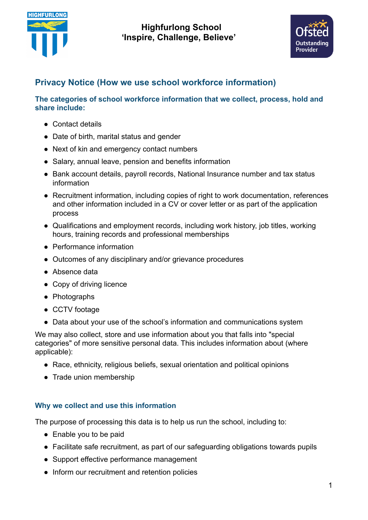



# **Privacy Notice (How we use school workforce information)**

**The categories of school workforce information that we collect, process, hold and share include:**

- Contact details
- Date of birth, marital status and gender
- Next of kin and emergency contact numbers
- Salary, annual leave, pension and benefits information
- Bank account details, payroll records, National Insurance number and tax status information
- Recruitment information, including copies of right to work documentation, references and other information included in a CV or cover letter or as part of the application process
- Qualifications and employment records, including work history, job titles, working hours, training records and professional memberships
- Performance information
- Outcomes of any disciplinary and/or grievance procedures
- Absence data
- Copy of driving licence
- Photographs
- CCTV footage
- Data about your use of the school's information and communications system

We may also collect, store and use information about you that falls into "special categories" of more sensitive personal data. This includes information about (where applicable):

- Race, ethnicity, religious beliefs, sexual orientation and political opinions
- Trade union membership

# **Why we collect and use this information**

The purpose of processing this data is to help us run the school, including to:

- Enable you to be paid
- Facilitate safe recruitment, as part of our safeguarding obligations towards pupils
- Support effective performance management
- Inform our recruitment and retention policies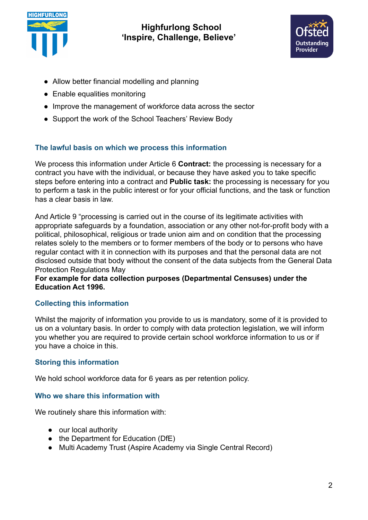



- Allow better financial modelling and planning
- Enable equalities monitoring
- Improve the management of workforce data across the sector
- Support the work of the School Teachers' Review Body

# **The lawful basis on which we process this information**

We process this information under Article 6 **Contract:** the processing is necessary for a contract you have with the individual, or because they have asked you to take specific steps before entering into a contract and **Public task:** the processing is necessary for you to perform a task in the public interest or for your official functions, and the task or function has a clear basis in law.

And Article 9 "processing is carried out in the course of its legitimate activities with appropriate safeguards by a foundation, association or any other not-for-profit body with a political, philosophical, religious or trade union aim and on condition that the processing relates solely to the members or to former members of the body or to persons who have regular contact with it in connection with its purposes and that the personal data are not disclosed outside that body without the consent of the data subjects from the General Data Protection Regulations May

### **For example for data collection purposes (Departmental Censuses) under the Education Act 1996.**

# **Collecting this information**

Whilst the majority of information you provide to us is mandatory, some of it is provided to us on a voluntary basis. In order to comply with data protection legislation, we will inform you whether you are required to provide certain school workforce information to us or if you have a choice in this.

# **Storing this information**

We hold school workforce data for 6 years as per retention policy.

# **Who we share this information with**

We routinely share this information with:

- our local authority
- the Department for Education (DfE)
- Multi Academy Trust (Aspire Academy via Single Central Record)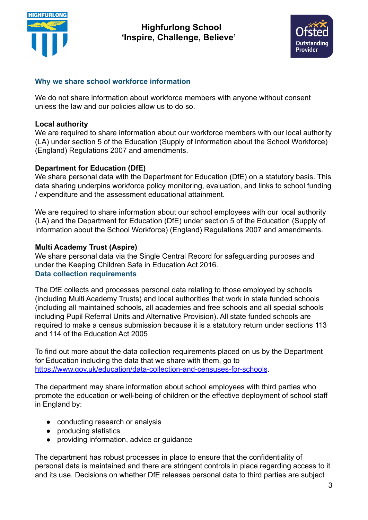



### **Why we share school workforce information**

We do not share information about workforce members with anyone without consent unless the law and our policies allow us to do so.

#### **Local authority**

We are required to share information about our workforce members with our local authority (LA) under section 5 of the Education (Supply of Information about the School Workforce) (England) Regulations 2007 and amendments.

### **Department for Education (DfE)**

We share personal data with the Department for Education (DfE) on a statutory basis. This data sharing underpins workforce policy monitoring, evaluation, and links to school funding / expenditure and the assessment educational attainment.

We are required to share information about our school employees with our local authority (LA) and the Department for Education (DfE) under section 5 of the Education (Supply of Information about the School Workforce) (England) Regulations 2007 and amendments.

### **Multi Academy Trust (Aspire)**

We share personal data via the Single Central Record for safeguarding purposes and under the Keeping Children Safe in Education Act 2016. **Data collection requirements**

The DfE collects and processes personal data relating to those employed by schools (including Multi Academy Trusts) and local authorities that work in state funded schools (including all maintained schools, all academies and free schools and all special schools including Pupil Referral Units and Alternative Provision). All state funded schools are required to make a census submission because it is a statutory return under sections 113 and 114 of the Education Act 2005

To find out more about the data collection requirements placed on us by the Department for Education including the data that we share with them, go to <https://www.gov.uk/education/data-collection-and-censuses-for-schools>.

The department may share information about school employees with third parties who promote the education or well-being of children or the effective deployment of school staff in England by:

- conducting research or analysis
- producing statistics
- providing information, advice or guidance

The department has robust processes in place to ensure that the confidentiality of personal data is maintained and there are stringent controls in place regarding access to it and its use. Decisions on whether DfE releases personal data to third parties are subject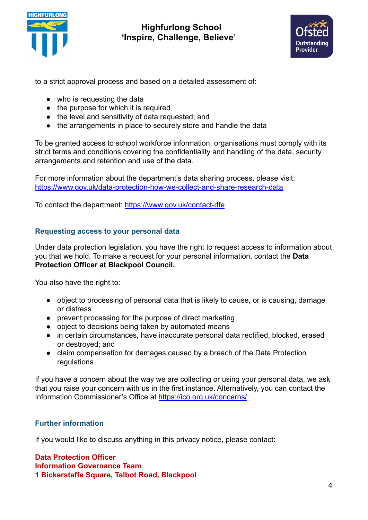



to a strict approval process and based on a detailed assessment of:

- who is requesting the data
- the purpose for which it is required
- the level and sensitivity of data requested; and
- the arrangements in place to securely store and handle the data

To be granted access to school workforce information, organisations must comply with its strict terms and conditions covering the confidentiality and handling of the data, security arrangements and retention and use of the data.

For more information about the department's data sharing process, please visit: <https://www.gov.uk/data-protection-how-we-collect-and-share-research-data>

To contact the department: <https://www.gov.uk/contact-dfe>

### **Requesting access to your personal data**

Under data protection legislation, you have the right to request access to information about you that we hold. To make a request for your personal information, contact the **Data Protection Officer at Blackpool Council.**

You also have the right to:

- object to processing of personal data that is likely to cause, or is causing, damage or distress
- prevent processing for the purpose of direct marketing
- object to decisions being taken by automated means
- in certain circumstances, have inaccurate personal data rectified, blocked, erased or destroyed; and
- claim compensation for damages caused by a breach of the Data Protection regulations

If you have a concern about the way we are collecting or using your personal data, we ask that you raise your concern with us in the first instance. Alternatively, you can contact the Information Commissioner's Office at <https://ico.org.uk/concerns/>

# **Further information**

If you would like to discuss anything in this privacy notice, please contact:

**Data Protection Officer Information Governance Team 1 Bickerstaffe Square, Talbot Road, Blackpool**